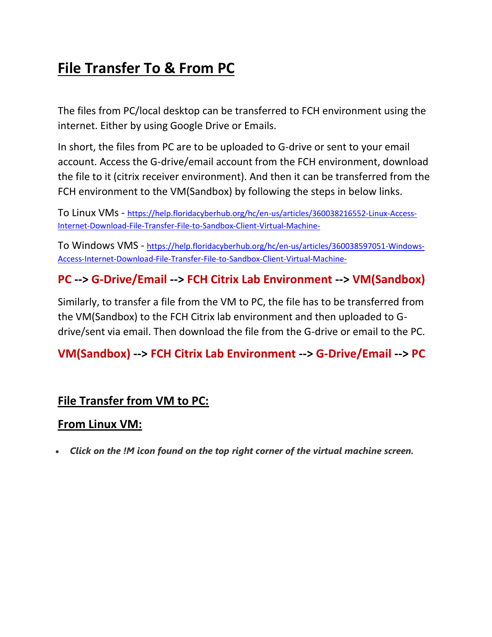# **File Transfer To & From PC**

The files from PC/local desktop can be transferred to FCH environment using the internet. Either by using Google Drive or Emails.

In short, the files from PC are to be uploaded to G-drive or sent to your email account. Access the G-drive/email account from the FCH environment, download the file to it (citrix receiver environment). And then it can be transferred from the FCH environment to the VM(Sandbox) by following the steps in below links.

To Linux VMs - [https://help.floridacyberhub.org/hc/en-us/articles/360038216552-Linux-Access-](https://help.floridacyberhub.org/hc/en-us/articles/360038216552-Linux-Access-Internet-Download-File-Transfer-File-to-Sandbox-Client-Virtual-Machine-)[Internet-Download-File-Transfer-File-to-Sandbox-Client-Virtual-Machine-](https://help.floridacyberhub.org/hc/en-us/articles/360038216552-Linux-Access-Internet-Download-File-Transfer-File-to-Sandbox-Client-Virtual-Machine-)

To Windows VMS - [https://help.floridacyberhub.org/hc/en-us/articles/360038597051-Windows-](https://help.floridacyberhub.org/hc/en-us/articles/360038597051-Windows-Access-Internet-Download-File-Transfer-File-to-Sandbox-Client-Virtual-Machine-)[Access-Internet-Download-File-Transfer-File-to-Sandbox-Client-Virtual-Machine-](https://help.floridacyberhub.org/hc/en-us/articles/360038597051-Windows-Access-Internet-Download-File-Transfer-File-to-Sandbox-Client-Virtual-Machine-)

### **PC --> G-Drive/Email --> FCH Citrix Lab Environment --> VM(Sandbox)**

Similarly, to transfer a file from the VM to PC, the file has to be transferred from the VM(Sandbox) to the FCH Citrix lab environment and then uploaded to Gdrive/sent via email. Then download the file from the G-drive or email to the PC.

## **VM(Sandbox) --> FCH Citrix Lab Environment --> G-Drive/Email --> PC**

#### **File Transfer from VM to PC:**

#### **From Linux VM:**

• *Click on the !M icon found on the top right corner of the virtual machine screen.*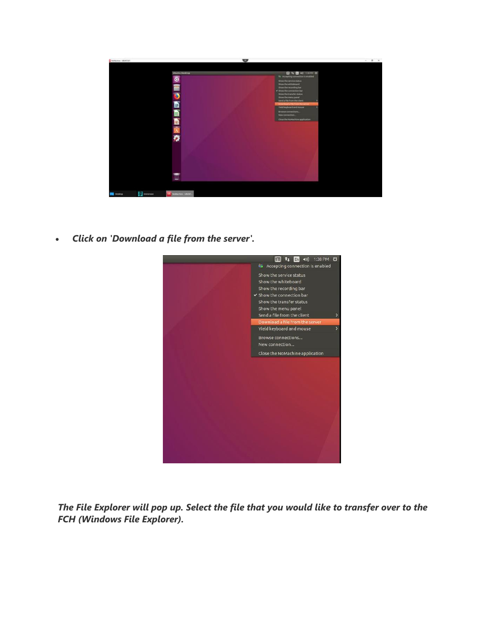

• *Click on 'Download a file from the server'.*



*The File Explorer will pop up. Select the file that you would like to transfer over to the FCH (Windows File Explorer).*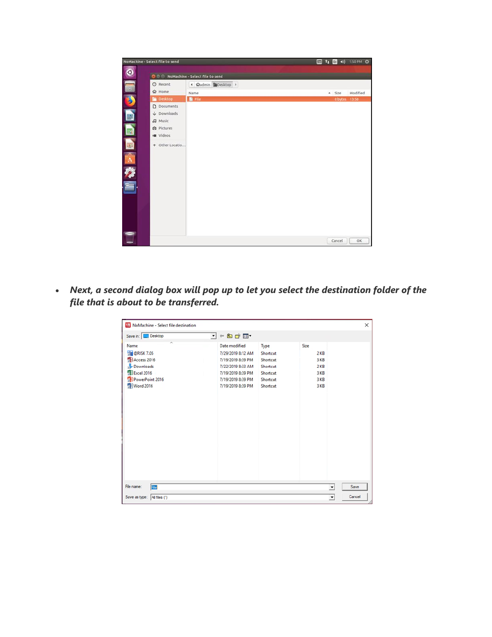|        | NoMachine - Select file to send       |                                     |                  |                     | 1 1 1 3 40 1:50 PM ☆ |
|--------|---------------------------------------|-------------------------------------|------------------|---------------------|----------------------|
| O      |                                       | O C NoMachine - Select file to send |                  |                     |                      |
|        | O Recent                              |                                     |                  |                     |                      |
| $\Box$ |                                       | + @admin @Desktop >                 |                  |                     |                      |
|        | <b>企</b> Home                         | Name                                | $\blacktriangle$ | Size                | Modified             |
| E      | Desktop                               | <b>B</b> File                       |                  | <b>Obytes</b> 13:50 |                      |
|        | D Documents<br>$\downarrow$ Downloads |                                     |                  |                     |                      |
| F      | Ja Music                              |                                     |                  |                     |                      |
|        | <b>Q</b> Pictures                     |                                     |                  |                     |                      |
| 國      | <b>M</b> Videos                       |                                     |                  |                     |                      |
|        |                                       |                                     |                  |                     |                      |
| 国      | + Other Locatio                       |                                     |                  |                     |                      |
|        |                                       |                                     |                  |                     |                      |
|        |                                       |                                     |                  |                     |                      |
|        |                                       |                                     |                  |                     |                      |
|        |                                       |                                     |                  |                     |                      |
|        |                                       |                                     |                  |                     |                      |
|        |                                       |                                     |                  |                     |                      |
|        |                                       |                                     |                  |                     |                      |
|        |                                       |                                     |                  |                     |                      |
|        |                                       |                                     |                  |                     |                      |
|        |                                       |                                     |                  |                     |                      |
|        |                                       |                                     |                  |                     |                      |
|        |                                       |                                     |                  |                     |                      |
|        |                                       |                                     |                  | Cancel              | OK                   |

• *Next, a second dialog box will pop up to let you select the destination folder of the file that is about to be transferred.*

| Save in: <b>Desktop</b>         | ←自首目→<br>$\mathbf{r}$ |          |                |      |
|---------------------------------|-----------------------|----------|----------------|------|
| $\widehat{\phantom{a}}$<br>Name | <b>Date modified</b>  | Type     | Size           |      |
| <b>TH</b> @RISK 7.05            | 7/29/2019 8:12 AM     | Shortcut | 2 KB           |      |
| A Access 2016                   | 7/19/2019 8:39 PM     | Shortcut | 3 KB           |      |
| Downloads                       | 7/22/2019 8:33 AM     | Shortcut | 2 KB           |      |
| <b>X</b> Excel 2016             | 7/19/2019 8:39 PM     | Shortcut | 3 KB           |      |
| PowerPoint 2016                 | 7/19/2019 8:39 PM     | Shortcut | 3 KB           |      |
| <b>Word 2016</b>                | 7/19/2019 8:39 PM     | Shortcut | 3 KB           |      |
|                                 |                       |          |                |      |
| File name:<br>File              |                       |          | $\overline{ }$ | Save |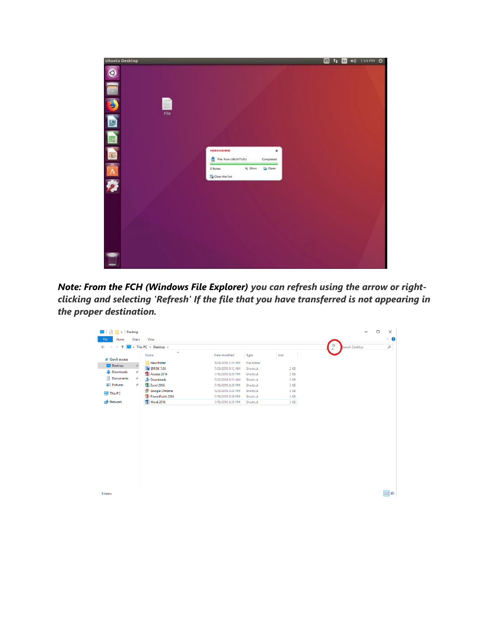

*Note: From the FCH (Windows File Explorer) you can refresh using the arrow or rightclicking and selecting 'Refresh' If the file that you have transferred is not appearing in the proper destination.* 

| 个<br>$\mathbf{v}$           | > This PC > Desktop >            |                   |             |        | O<br>Search Desktop<br>$\sim$ | $\alpha$ |
|-----------------------------|----------------------------------|-------------------|-------------|--------|-------------------------------|----------|
|                             | $\mathcal{N}_\mathrm{L}$<br>Name | Date modified     | Type        | Size   |                               |          |
| <b>Cuick access</b>         | New folder                       | 10/8/2019 1:35 PM | File folder |        |                               |          |
| Desktop<br>$\pi$            | <b>WII</b> @RISK 7.05            | 7/29/2019 8:12 AM | Shortcut    | $2$ KB |                               |          |
| Downloads<br>À              | Access 2016                      | 7/19/2019 8:39 PM | Shortcut    | 3 KB   |                               |          |
| Documents<br>À.             | Downloads                        | 7/22/2019 8:33 AM | Shortcut    | $2$ KB |                               |          |
| Pictures<br>$\mathcal{R}^-$ | <b>Excel 2016</b>                | 7/19/2019 8:39 PM | Shortcut    | 3 KB   |                               |          |
| This PC                     | <b>Google Chrome</b>             | 12/9/2019 2:24 PM | Shortcut    | 3 KB   |                               |          |
|                             | <b>BE</b> PowerPoint 2016        | 7/19/2019 8:39 PM | Shortcut    | 3 KB   |                               |          |
| Network                     | <b>Word 2016</b>                 | 7/19/2019 8:39 PM | Shortcut    | 3 KB   |                               |          |
|                             |                                  |                   |             |        |                               |          |
|                             |                                  |                   |             |        |                               |          |
|                             |                                  |                   |             |        |                               |          |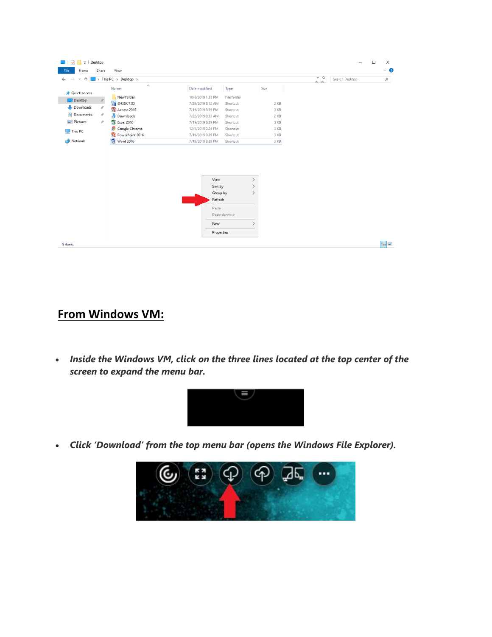| File<br>Home          | Desktop<br>Share | View                              |                   |                |        |                |                | □ | $\times$<br>$\vee$ 0 |
|-----------------------|------------------|-----------------------------------|-------------------|----------------|--------|----------------|----------------|---|----------------------|
|                       |                  | $\rightarrow$ This PC > Desktop > |                   |                |        | $\frac{6}{10}$ | Search Desktop |   | $\varphi$            |
|                       |                  | $\scriptstyle\wedge$<br>Name      | Date modified     | Type           | Size   |                |                |   |                      |
| <b>d</b> Quick access |                  | New folder                        | 10/8/2019 1:35 PM | File folder    |        |                |                |   |                      |
| Desktop               | Ã.               | <b>WII</b> @RISK 7.05             | 7/29/2019 8:12 AM | Shortcut       | $2$ KB |                |                |   |                      |
| Downloads             | À                | Access 2016                       | 7/19/2019 8:39 PM | Shortcut       | 3 KB   |                |                |   |                      |
| Documents             | $\mathcal{A}$    | Downloads                         | 7/22/2019 8:33 AM | Shortcut       | $2$ KB |                |                |   |                      |
| Pictures              | À.               | ■ Excel 2016                      | 7/19/2019 8:39 PM | Shortcut       | 3 KB   |                |                |   |                      |
|                       |                  | <b>Google Chrome</b>              | 12/9/2019 2:24 PM | Shortcut       | 3 KB   |                |                |   |                      |
| This PC               |                  | 界 PowerPoint 2016                 | 7/19/2019 8:39 PM | Shortcut       | 3 KB   |                |                |   |                      |
| Network               |                  | Word 2016                         | 7/19/2019 8:39 PM | Shortcut       | 3 KB   |                |                |   |                      |
|                       |                  |                                   |                   |                |        |                |                |   |                      |
|                       |                  |                                   | View              |                |        |                |                |   |                      |
|                       |                  |                                   | Sort by           | $\mathcal{P}$  |        |                |                |   |                      |
|                       |                  |                                   | Group by          |                |        |                |                |   |                      |
|                       |                  |                                   | Refresh           |                |        |                |                |   |                      |
|                       |                  |                                   | Paste             |                |        |                |                |   |                      |
|                       |                  |                                   |                   | Paste shortcut |        |                |                |   |                      |
|                       |                  |                                   | New               |                |        |                |                |   |                      |
|                       |                  |                                   | Properties        |                |        |                |                |   |                      |

## **From Windows VM:**

• *Inside the Windows VM, click on the three lines located at the top center of the screen to expand the menu bar.*



• *Click 'Download' from the top menu bar (opens the Windows File Explorer).*

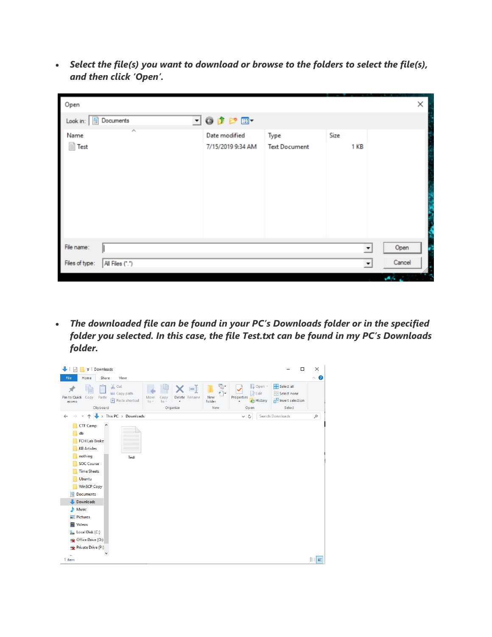• *Select the file(s) you want to download or browse to the folders to select the file(s), and then click 'Open'.*

| Open                                    |                                    |                              |              | ×                                  |
|-----------------------------------------|------------------------------------|------------------------------|--------------|------------------------------------|
| Look in: <b>E</b> Documents             | ⊡⊙∲P⊞•                             |                              |              |                                    |
| $\widehat{\phantom{a}}$<br>Name<br>Fest | Date modified<br>7/15/2019 9:34 AM | Type<br><b>Text Document</b> | Size<br>1 KB |                                    |
| File name:                              |                                    |                              |              | Open<br>$\blacktriangledown$       |
| Files of type:<br>All Files (*.*)       |                                    |                              |              | Cancel<br>$\overline{\phantom{a}}$ |

• *The downloaded file can be found in your PC's Downloads folder or in the specified folder you selected. In this case, the file Test.txt can be found in my PC's Downloads folder.*

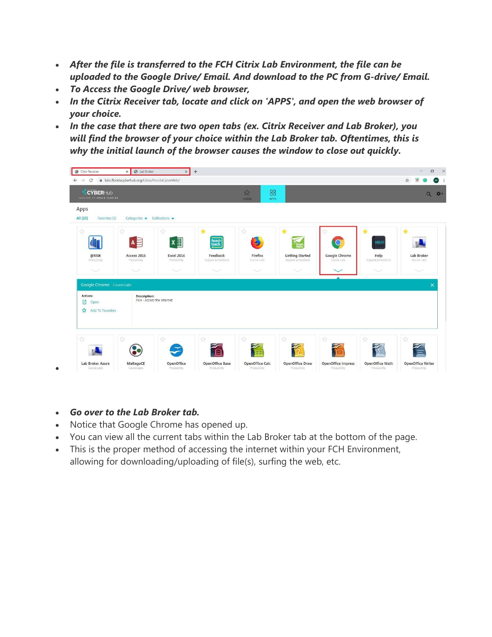- *After the file is transferred to the FCH Citrix Lab Environment, the file can be uploaded to the Google Drive/ Email. And download to the PC from G-drive/ Email.*
- *To Access the Google Drive/ web browser,*
- *In the Citrix Receiver tab, locate and click on 'APPS', and open the web browser of your choice.*
- *In the case that there are two open tabs (ex. Citrix Receiver and Lab Broker), you will find the browser of your choice within the Lab Broker tab. Oftentimes, this is why the initial launch of the browser causes the window to close out quickly.*

| Citrix Receiver<br>$\leftarrow$ $\rightarrow$<br>$\mathcal{C}$ | x <b>B</b> Lab Broker<br>a labs.floridacyberhub.org/Citrix/FloridaCyberWeb/ | $\times$                        | $+$                                |                             |                                    |                           |                     | $\Box$<br>☆<br>$\overline{a}$ |
|----------------------------------------------------------------|-----------------------------------------------------------------------------|---------------------------------|------------------------------------|-----------------------------|------------------------------------|---------------------------|---------------------|-------------------------------|
| <b>CYBERHub</b><br>POWERED BY CYBER FLORIDA                    |                                                                             |                                 |                                    | 88<br>命<br>HOME<br>APPS     |                                    |                           |                     | $\alpha$                      |
| Apps<br>All (25)<br>Favorites (5)                              | Categories $\bullet$ Collections $\bullet$                                  |                                 |                                    |                             |                                    |                           |                     |                               |
| ☆                                                              | ☆                                                                           | ☆                               |                                    | A                           |                                    |                           |                     |                               |
| @RISK                                                          | $A \equiv$<br>Access 2016                                                   | $x \equiv$<br><b>Excel 2016</b> | feed<br>back<br>Feedback           | Firefox                     | <b>Getting Started</b>             | Google Chrome             | <b>HELP</b><br>Help | Lab Broker                    |
| Productivity<br>$\checkmark$                                   | Productivity<br>$\checkmark$                                                | Productivity<br>$\checkmark$    | Support & Feedback<br>$\checkmark$ | Course Labs<br>$\checkmark$ | Support & Feedback<br>$\checkmark$ | Course Labs               | Support & Feedback  | Course Labs<br>$\checkmark$   |
| Google Chrome Course Labs                                      |                                                                             |                                 |                                    |                             |                                    |                           |                     | $\times$                      |
| Actions:<br>Ø<br>Open                                          | Description:<br>FCH - Access the Internet                                   |                                 |                                    |                             |                                    |                           |                     |                               |
| Add To Favorites<br><b>KY</b>                                  |                                                                             |                                 |                                    |                             |                                    |                           |                     |                               |
|                                                                |                                                                             |                                 |                                    |                             |                                    |                           |                     |                               |
| ☆                                                              | 诠                                                                           | ☆                               | 立<br>日                             | ☆                           | ☆                                  | ☆                         | ☆                   | ☆                             |
| Lab Broker Azure                                               | MaltegoCE                                                                   | OpenOffice                      | OpenOffice Base                    | OpenOffice Calc             | OpenOffice Draw                    | <b>OpenOffice Impress</b> | OpenOffice Math     |                               |

• *Go over to the Lab Broker tab.*

•

- Notice that Google Chrome has opened up.
- You can view all the current tabs within the Lab Broker tab at the bottom of the page.
- This is the proper method of accessing the internet within your FCH Environment, allowing for downloading/uploading of file(s), surfing the web, etc.